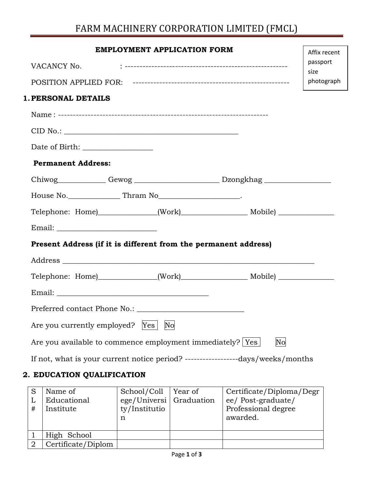# FARM MACHINERY CORPORATION LIMITED (FMCL)

|                                                                                                                                                                                                                                | <b>EMPLOYMENT APPLICATION FORM</b> |    | Affix recent     |
|--------------------------------------------------------------------------------------------------------------------------------------------------------------------------------------------------------------------------------|------------------------------------|----|------------------|
| VACANCY No.                                                                                                                                                                                                                    |                                    |    | passport<br>size |
|                                                                                                                                                                                                                                |                                    |    | photograph       |
| <b>1. PERSONAL DETAILS</b>                                                                                                                                                                                                     |                                    |    |                  |
|                                                                                                                                                                                                                                |                                    |    |                  |
| CID No.:                                                                                                                                                                                                                       |                                    |    |                  |
|                                                                                                                                                                                                                                |                                    |    |                  |
| <b>Permanent Address:</b>                                                                                                                                                                                                      |                                    |    |                  |
| Chiwog Gewog Gewog Dzongkhag                                                                                                                                                                                                   |                                    |    |                  |
| House No. Thram No Thram No Physical Community Contract Community Community Community Community Community Community Community Community Community Community Community Community Community Community Community Community Commun |                                    |    |                  |
|                                                                                                                                                                                                                                |                                    |    |                  |
|                                                                                                                                                                                                                                |                                    |    |                  |
| Present Address (if it is different from the permanent address)                                                                                                                                                                |                                    |    |                  |
|                                                                                                                                                                                                                                |                                    |    |                  |
|                                                                                                                                                                                                                                |                                    |    |                  |
|                                                                                                                                                                                                                                |                                    |    |                  |
|                                                                                                                                                                                                                                |                                    |    |                  |
| Are you currently employed? [Yes]                                                                                                                                                                                              | No                                 |    |                  |
| Are you available to commence employment immediately?   Yes                                                                                                                                                                    |                                    | No |                  |
| If not, what is your current notice period? ---------------------days/weeks/months                                                                                                                                             |                                    |    |                  |
|                                                                                                                                                                                                                                |                                    |    |                  |

### **2. EDUCATION QUALIFICATION**

| L<br># | Name of<br>Educational<br>Institute | School/Coll<br>ege/Universi Graduation<br>ty/Institutio<br>n | Year of | Certificate/Diploma/Degr<br>ee/ Post-graduate/<br>Professional degree<br>awarded. |
|--------|-------------------------------------|--------------------------------------------------------------|---------|-----------------------------------------------------------------------------------|
|        | High School                         |                                                              |         |                                                                                   |
|        | Certificate/Diplom                  |                                                              |         |                                                                                   |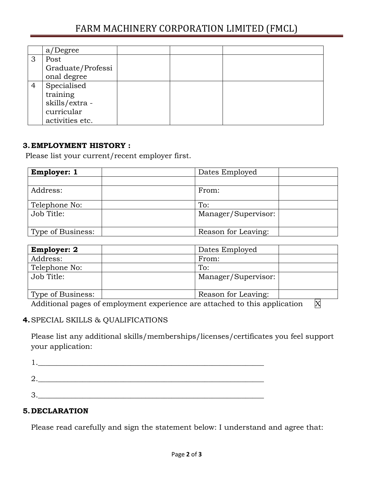## FARM MACHINERY CORPORATION LIMITED (FMCL)

|                | 'Degree<br>a/     |  |  |
|----------------|-------------------|--|--|
| 3              | Post              |  |  |
|                | Graduate/Professi |  |  |
|                | onal degree       |  |  |
| $\overline{4}$ | Specialised       |  |  |
|                | training          |  |  |
|                | skills/extra -    |  |  |
|                | curricular        |  |  |
|                | activities etc.   |  |  |

#### **3.EMPLOYMENT HISTORY :**

Please list your current/recent employer first.

| <b>Employer: 1</b> | Dates Employed      |
|--------------------|---------------------|
|                    |                     |
| Address:           | From:               |
| Telephone No:      | To:                 |
| Job Title:         | Manager/Supervisor: |
| Type of Business:  | Reason for Leaving: |

| <b>Employer: 2</b> | Dates Employed      |
|--------------------|---------------------|
| Address:           | From:               |
| Telephone No:      | To:                 |
| Job Title:         | Manager/Supervisor: |
| Type of Business:  | Reason for Leaving: |

Additional pages of employment experience are attached to this application  $\overline{X}$ 

#### **4.**SPECIAL SKILLS & QUALIFICATIONS

Please list any additional skills/memberships/licenses/certificates you feel support your application:

#### **5.DECLARATION**

Please read carefully and sign the statement below: I understand and agree that: